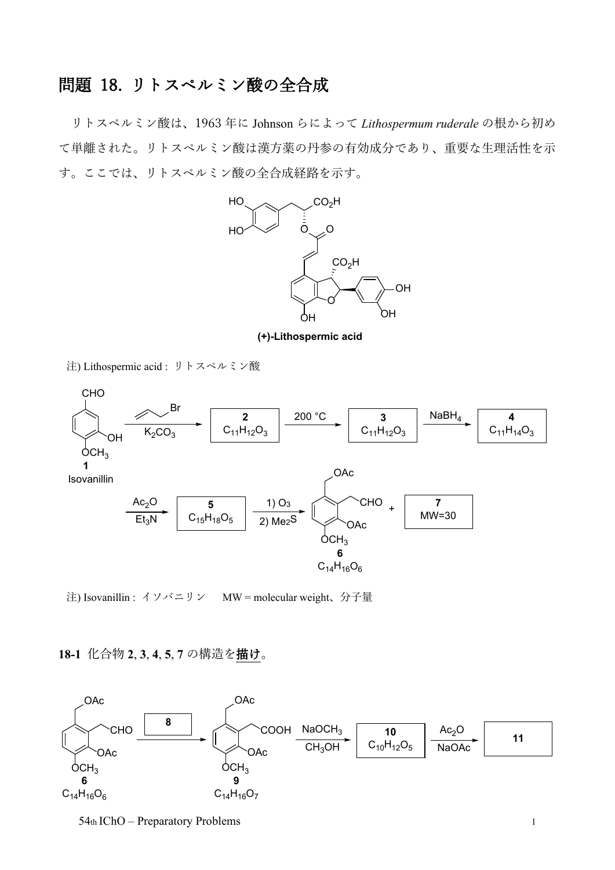## 問題 18. リトスペルミン酸の全合成

リトスペルミン酸は、1963 年に Johnson らによって *Lithospermum ruderale* の根から初め て単離された。リトスペルミン酸は漢方薬の丹参の有効成分であり、重要な生理活性を示 す。ここでは、リトスペルミン酸の全合成経路を示す。



**(+)-Lithospermic acid**

注) Lithospermic acid : リトスペルミン酸



注) Isovanillin : イソバニリン MW = molecular weight、分子量

## **18-1** 化合物 **2**, **3**, **4**, **5**, **7** の構造を描け。



54th IChO – Preparatory Problems 1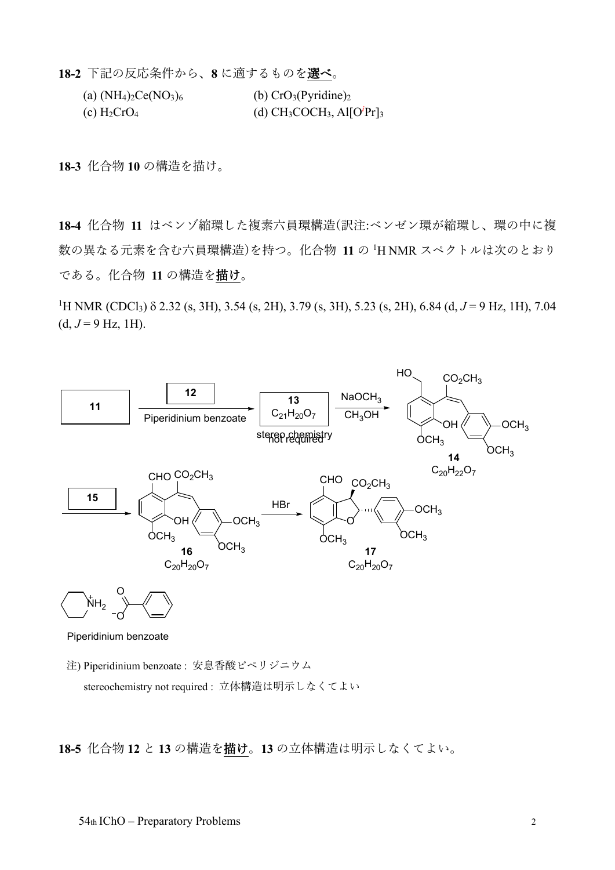**18-2** 下記の反応条件から、**8** に適するものを選べ。

| (a) $(NH_4)_2Ce(NO_3)_6$ | (b) $CrO3(Pyridine)2$             |
|--------------------------|-----------------------------------|
| (c) $H_2CrO_4$           | (d) $CH_3COCH_3$ , Al $[O^iPr]_3$ |

**18-3** 化合物 **10** の構造を描け。

**18-4** 化合物 **11** はベンゾ縮環した複素六員環構造(訳注:ベンゼン環が縮環し、環の中に複 数の異なる元素を含む六員環構造)を持つ。化合物 **11** の <sup>1</sup> H NMR スペクトルは次のとおり である。化合物 **11** の構造を描け。

<sup>1</sup>H NMR (CDCl<sub>3</sub>) δ 2.32 (s, 3H), 3.54 (s, 2H), 3.79 (s, 3H), 5.23 (s, 2H), 6.84 (d, *J* = 9 Hz, 1H), 7.04  $(d, J = 9$  Hz, 1H).



Piperidinium benzoate

注) Piperidinium benzoate : 安息香酸ピペリジニウム stereochemistry not required : 立体構造は明示しなくてよい

**18-5** 化合物 **12** と **13** の構造を描け。**13** の立体構造は明示しなくてよい。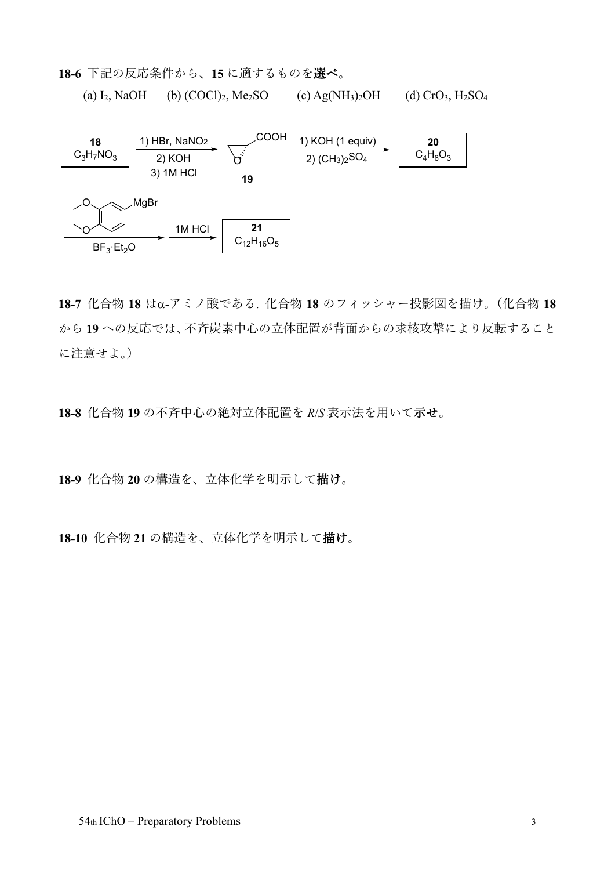**18-6** 下記の反応条件から、**15** に適するものを選べ。

(a) I<sub>2</sub>, NaOH (b) (COCl)<sub>2</sub>, Me<sub>2</sub>SO (c) Ag(NH<sub>3</sub>)<sub>2</sub>OH (d) CrO<sub>3</sub>, H<sub>2</sub>SO<sub>4</sub>



**18-7** 化合物 **18** はα-アミノ酸である. 化合物 **18** のフィッシャー投影図を描け。(化合物 **18** から **19** への反応では、不斉炭素中心の立体配置が背面からの求核攻撃により反転すること に注意せよ。)

**18-8** 化合物 **19** の不斉中心の絶対立体配置を *R*/*S* 表示法を用いて示せ。

**18-9** 化合物 **20** の構造を、立体化学を明示して描け。

**18-10** 化合物 **21** の構造を、立体化学を明示して描け。